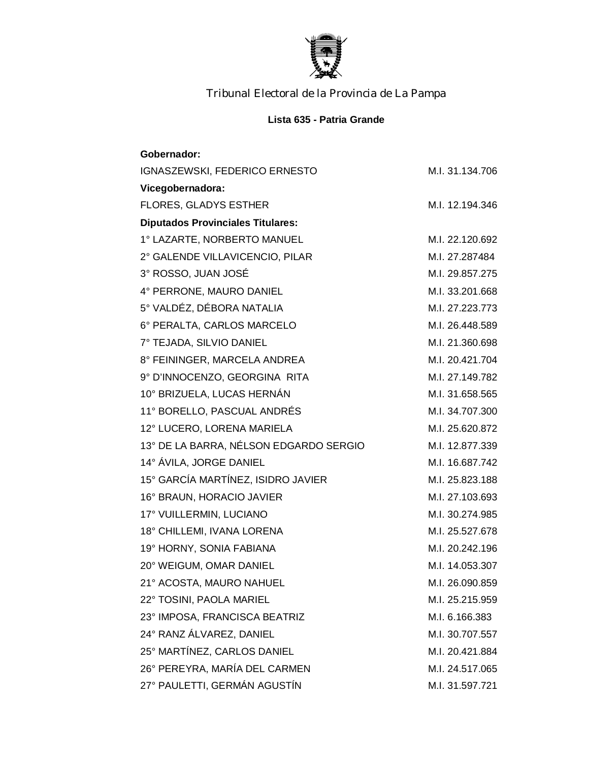

*Tribunal Electoral de la Provincia de La Pampa*

## **Lista 635 - Patria Grande**

| Gobernador:                              |                 |
|------------------------------------------|-----------------|
| IGNASZEWSKI, FEDERICO ERNESTO            | M.I. 31.134.706 |
| Vicegobernadora:                         |                 |
| <b>FLORES, GLADYS ESTHER</b>             | M.I. 12.194.346 |
| <b>Diputados Provinciales Titulares:</b> |                 |
| 1° LAZARTE, NORBERTO MANUEL              | M.I. 22.120.692 |
| 2° GALENDE VILLAVICENCIO, PILAR          | M.I. 27.287484  |
| 3° ROSSO, JUAN JOSÉ                      | M.I. 29.857.275 |
| 4° PERRONE, MAURO DANIEL                 | M.I. 33.201.668 |
| 5° VALDÉZ, DÉBORA NATALIA                | M.I. 27.223.773 |
| 6° PERALTA, CARLOS MARCELO               | M.I. 26.448.589 |
| 7° TEJADA, SILVIO DANIEL                 | M.I. 21.360.698 |
| 8° FEININGER, MARCELA ANDREA             | M.I. 20.421.704 |
| 9° D'INNOCENZO, GEORGINA RITA            | M.I. 27.149.782 |
| 10° BRIZUELA, LUCAS HERNÁN               | M.I. 31.658.565 |
| 11° BORELLO, PASCUAL ANDRÉS              | M.I. 34.707.300 |
| 12° LUCERO, LORENA MARIELA               | M.I. 25.620.872 |
| 13° DE LA BARRA, NÉLSON EDGARDO SERGIO   | M.I. 12.877.339 |
| 14° ÁVILA, JORGE DANIEL                  | M.I. 16.687.742 |
| 15° GARCÍA MARTÍNEZ, ISIDRO JAVIER       | M.I. 25.823.188 |
| 16° BRAUN, HORACIO JAVIER                | M.I. 27.103.693 |
| 17° VUILLERMIN, LUCIANO                  | M.I. 30.274.985 |
| 18° CHILLEMI, IVANA LORENA               | M.I. 25.527.678 |
| 19° HORNY, SONIA FABIANA                 | M.I. 20.242.196 |
| 20° WEIGUM, OMAR DANIEL                  | M.I. 14.053.307 |
| 21° ACOSTA, MAURO NAHUEL                 | M.I. 26.090.859 |
| 22° TOSINI, PAOLA MARIEL                 | M.I. 25.215.959 |
| 23° IMPOSA, FRANCISCA BEATRIZ            | M.I. 6.166.383  |
| 24° RANZ ÁLVAREZ, DANIEL                 | M.I. 30.707.557 |
| 25° MARTÍNEZ, CARLOS DANIEL              | M.I. 20.421.884 |
| 26° PEREYRA, MARÍA DEL CARMEN            | M.I. 24.517.065 |
| 27° PAULETTI, GERMÁN AGUSTÍN             | M.I. 31.597.721 |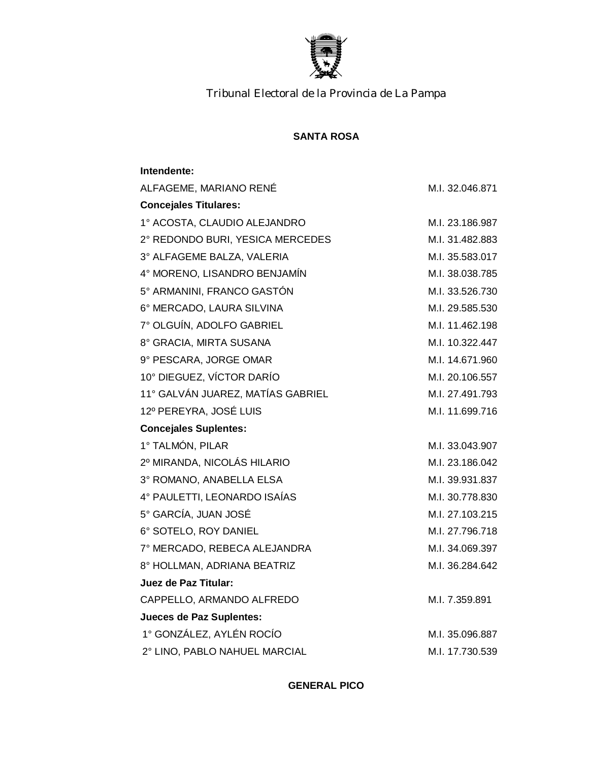

*Tribunal Electoral de la Provincia de La Pampa*

## **SANTA ROSA**

## **Intendente:**

| ALFAGEME, MARIANO RENÉ            | M.I. 32.046.871 |
|-----------------------------------|-----------------|
| <b>Concejales Titulares:</b>      |                 |
| 1° ACOSTA, CLAUDIO ALEJANDRO      | M.I. 23.186.987 |
| 2° REDONDO BURI, YESICA MERCEDES  | M.I. 31.482.883 |
| 3° ALFAGEME BALZA, VALERIA        | M.I. 35.583.017 |
| 4° MORENO, LISANDRO BENJAMÍN      | M.I. 38.038.785 |
| 5° ARMANINI, FRANCO GASTÓN        | M.I. 33.526.730 |
| 6° MERCADO, LAURA SILVINA         | M.I. 29.585.530 |
| 7° OLGUÍN, ADOLFO GABRIEL         | M.I. 11.462.198 |
| 8° GRACIA, MIRTA SUSANA           | M.I. 10.322.447 |
| 9° PESCARA, JORGE OMAR            | M.I. 14.671.960 |
| 10° DIEGUEZ, VÍCTOR DARÍO         | M.I. 20.106.557 |
| 11° GALVÁN JUAREZ, MATÍAS GABRIEL | M.I. 27.491.793 |
| 12º PEREYRA, JOSÉ LUIS            | M.I. 11.699.716 |
| <b>Concejales Suplentes:</b>      |                 |
| 1° TALMÓN, PILAR                  | M.I. 33.043.907 |
| 2º MIRANDA, NICOLÁS HILARIO       | M.I. 23.186.042 |
| 3° ROMANO, ANABELLA ELSA          | M.I. 39.931.837 |
| 4° PAULETTI, LEONARDO ISAÍAS      | M.I. 30.778.830 |
| 5° GARCÍA, JUAN JOSÉ              | M.I. 27.103.215 |
| 6° SOTELO, ROY DANIEL             | M.I. 27.796.718 |
| 7° MERCADO, REBECA ALEJANDRA      | M.I. 34.069.397 |
| 8° HOLLMAN, ADRIANA BEATRIZ       | M.I. 36.284.642 |
| Juez de Paz Titular:              |                 |
| CAPPELLO, ARMANDO ALFREDO         | M.I. 7.359.891  |
| <b>Jueces de Paz Suplentes:</b>   |                 |
| 1° GONZÁLEZ, AYLÉN ROCÍO          | M.I. 35.096.887 |
| 2° LINO, PABLO NAHUEL MARCIAL     | M.I. 17.730.539 |

**GENERAL PICO**